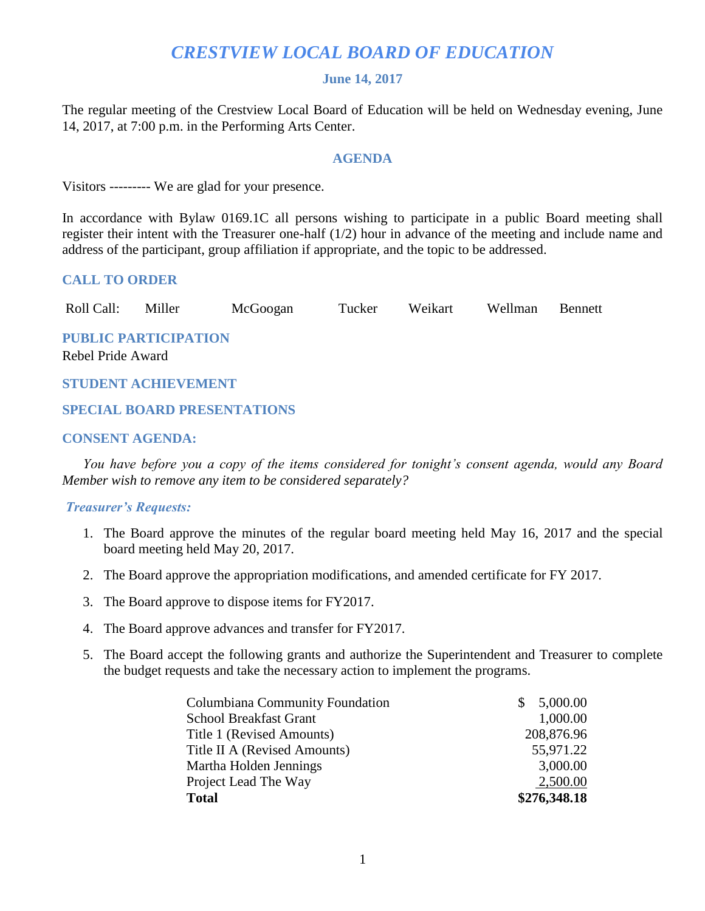# *CRESTVIEW LOCAL BOARD OF EDUCATION*

#### **June 14, 2017**

The regular meeting of the Crestview Local Board of Education will be held on Wednesday evening, June 14, 2017, at 7:00 p.m. in the Performing Arts Center.

#### **AGENDA**

Visitors --------- We are glad for your presence.

In accordance with Bylaw 0169.1C all persons wishing to participate in a public Board meeting shall register their intent with the Treasurer one-half (1/2) hour in advance of the meeting and include name and address of the participant, group affiliation if appropriate, and the topic to be addressed.

#### **CALL TO ORDER**

Roll Call: Miller McGoogan Tucker Weikart Wellman Bennett

**PUBLIC PARTICIPATION**

Rebel Pride Award

#### **STUDENT ACHIEVEMENT**

## **SPECIAL BOARD PRESENTATIONS**

## **CONSENT AGENDA:**

 *You have before you a copy of the items considered for tonight's consent agenda, would any Board Member wish to remove any item to be considered separately?*

#### *Treasurer's Requests:*

- 1. The Board approve the minutes of the regular board meeting held May 16, 2017 and the special board meeting held May 20, 2017.
- 2. The Board approve the appropriation modifications, and amended certificate for FY 2017.
- 3. The Board approve to dispose items for FY2017.
- 4. The Board approve advances and transfer for FY2017.
- 5. The Board accept the following grants and authorize the Superintendent and Treasurer to complete the budget requests and take the necessary action to implement the programs.

| Columbiana Community Foundation | 5,000.00     |
|---------------------------------|--------------|
| <b>School Breakfast Grant</b>   | 1,000.00     |
| Title 1 (Revised Amounts)       | 208,876.96   |
| Title II A (Revised Amounts)    | 55,971.22    |
| Martha Holden Jennings          | 3,000.00     |
| Project Lead The Way            | 2,500.00     |
| <b>Total</b>                    | \$276,348.18 |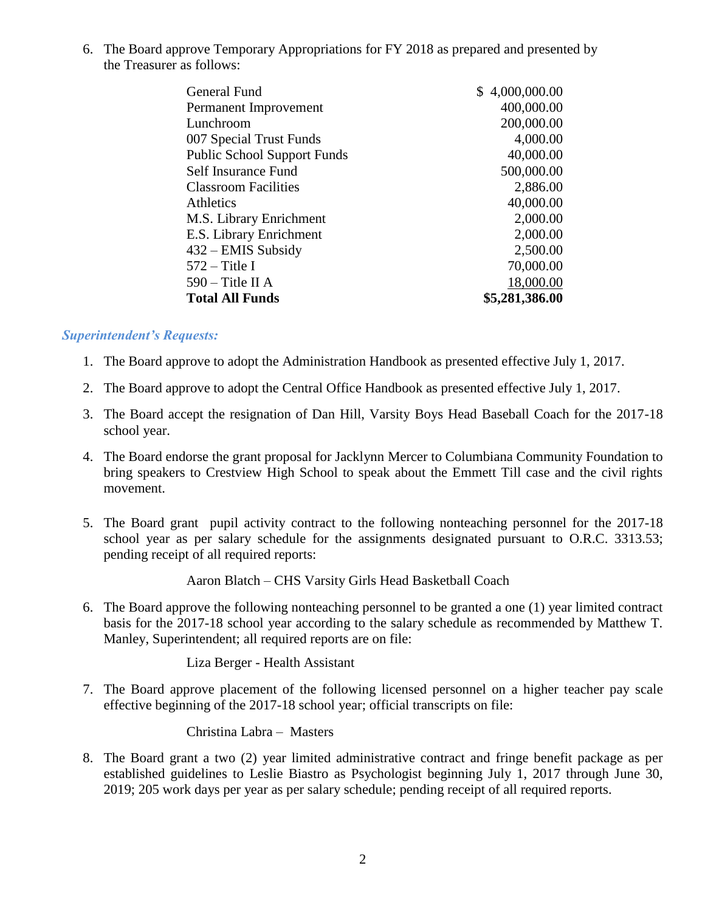6. The Board approve Temporary Appropriations for FY 2018 as prepared and presented by the Treasurer as follows:

| \$4,000,000.00 |
|----------------|
| 400,000.00     |
| 200,000.00     |
| 4,000.00       |
| 40,000.00      |
| 500,000.00     |
| 2,886.00       |
| 40,000.00      |
| 2,000.00       |
| 2,000.00       |
| 2,500.00       |
| 70,000.00      |
| 18,000.00      |
| \$5,281,386.00 |
|                |

## *Superintendent's Requests:*

- 1. The Board approve to adopt the Administration Handbook as presented effective July 1, 2017.
- 2. The Board approve to adopt the Central Office Handbook as presented effective July 1, 2017.
- 3. The Board accept the resignation of Dan Hill, Varsity Boys Head Baseball Coach for the 2017-18 school year.
- 4. The Board endorse the grant proposal for Jacklynn Mercer to Columbiana Community Foundation to bring speakers to Crestview High School to speak about the Emmett Till case and the civil rights movement.
- 5. The Board grant pupil activity contract to the following nonteaching personnel for the 2017-18 school year as per salary schedule for the assignments designated pursuant to O.R.C. 3313.53; pending receipt of all required reports:

Aaron Blatch – CHS Varsity Girls Head Basketball Coach

6. The Board approve the following nonteaching personnel to be granted a one (1) year limited contract basis for the 2017-18 school year according to the salary schedule as recommended by Matthew T. Manley, Superintendent; all required reports are on file:

Liza Berger - Health Assistant

7. The Board approve placement of the following licensed personnel on a higher teacher pay scale effective beginning of the 2017-18 school year; official transcripts on file:

Christina Labra – Masters

8. The Board grant a two (2) year limited administrative contract and fringe benefit package as per established guidelines to Leslie Biastro as Psychologist beginning July 1, 2017 through June 30, 2019; 205 work days per year as per salary schedule; pending receipt of all required reports.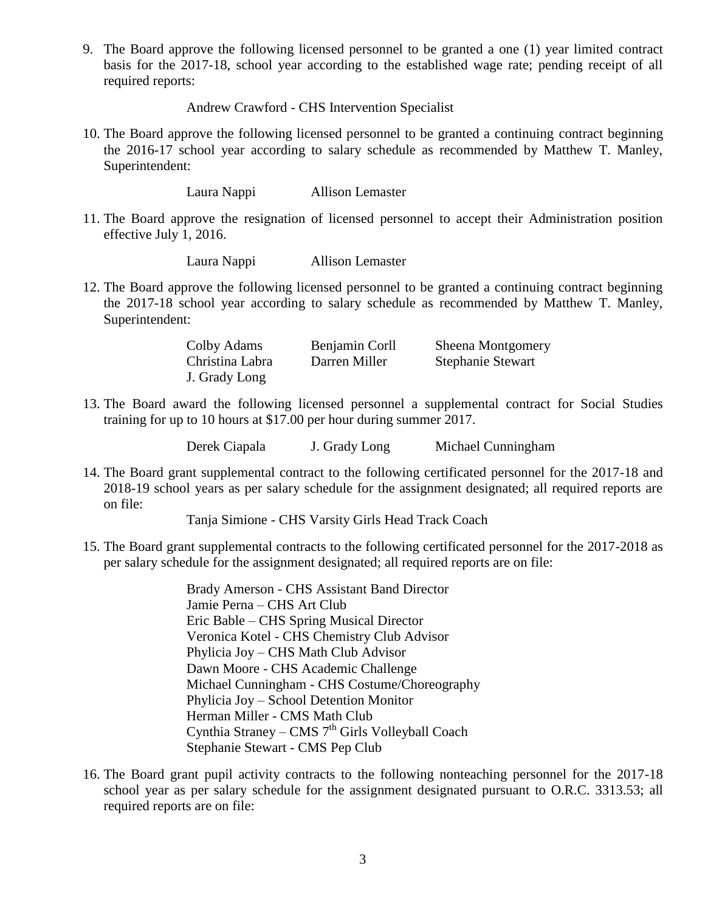9. The Board approve the following licensed personnel to be granted a one (1) year limited contract basis for the 2017-18, school year according to the established wage rate; pending receipt of all required reports:

Andrew Crawford - CHS Intervention Specialist

10. The Board approve the following licensed personnel to be granted a continuing contract beginning the 2016-17 school year according to salary schedule as recommended by Matthew T. Manley, Superintendent:

Laura Nappi Allison Lemaster

11. The Board approve the resignation of licensed personnel to accept their Administration position effective July 1, 2016.

Laura Nappi Allison Lemaster

12. The Board approve the following licensed personnel to be granted a continuing contract beginning the 2017-18 school year according to salary schedule as recommended by Matthew T. Manley, Superintendent:

| Colby Adams     | Benjamin Corll | Sheena Montgomery        |
|-----------------|----------------|--------------------------|
| Christina Labra | Darren Miller  | <b>Stephanie Stewart</b> |
| J. Grady Long   |                |                          |

13. The Board award the following licensed personnel a supplemental contract for Social Studies training for up to 10 hours at \$17.00 per hour during summer 2017.

Derek Ciapala J. Grady Long Michael Cunningham

14. The Board grant supplemental contract to the following certificated personnel for the 2017-18 and 2018-19 school years as per salary schedule for the assignment designated; all required reports are on file:

Tanja Simione - CHS Varsity Girls Head Track Coach

15. The Board grant supplemental contracts to the following certificated personnel for the 2017-2018 as per salary schedule for the assignment designated; all required reports are on file:

> Brady Amerson - CHS Assistant Band Director Jamie Perna – CHS Art Club Eric Bable – CHS Spring Musical Director Veronica Kotel - CHS Chemistry Club Advisor Phylicia Joy – CHS Math Club Advisor Dawn Moore - CHS Academic Challenge Michael Cunningham - CHS Costume/Choreography Phylicia Joy – School Detention Monitor Herman Miller - CMS Math Club Cynthia Straney – CMS 7<sup>th</sup> Girls Volleyball Coach Stephanie Stewart - CMS Pep Club

16. The Board grant pupil activity contracts to the following nonteaching personnel for the 2017-18 school year as per salary schedule for the assignment designated pursuant to O.R.C. 3313.53; all required reports are on file: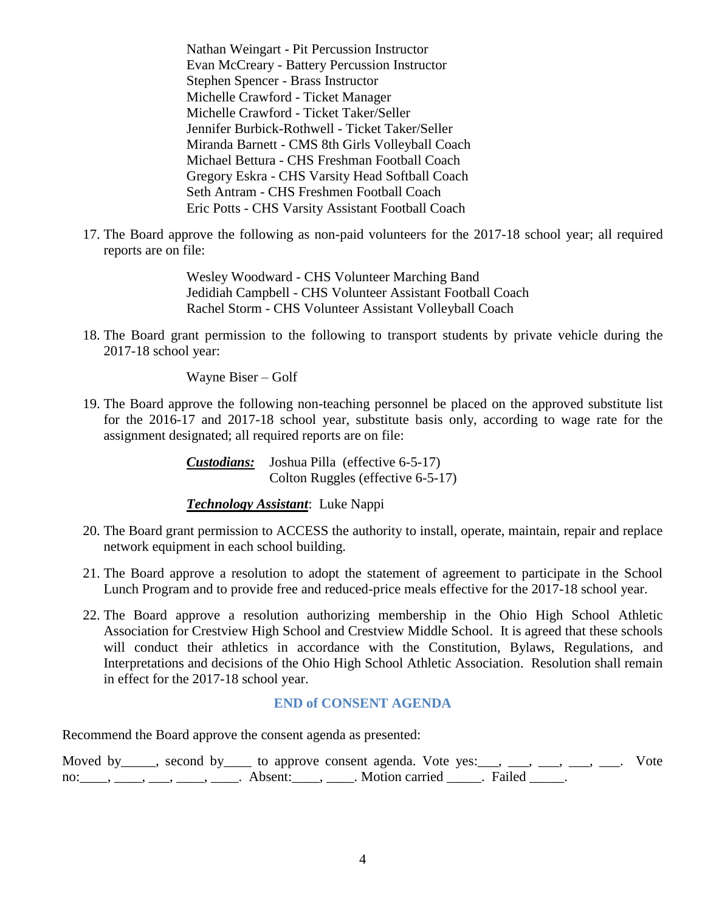Nathan Weingart - Pit Percussion Instructor Evan McCreary - Battery Percussion Instructor Stephen Spencer - Brass Instructor Michelle Crawford - Ticket Manager Michelle Crawford - Ticket Taker/Seller Jennifer Burbick-Rothwell - Ticket Taker/Seller Miranda Barnett - CMS 8th Girls Volleyball Coach Michael Bettura - CHS Freshman Football Coach Gregory Eskra - CHS Varsity Head Softball Coach Seth Antram - CHS Freshmen Football Coach Eric Potts - CHS Varsity Assistant Football Coach

17. The Board approve the following as non-paid volunteers for the 2017-18 school year; all required reports are on file:

> Wesley Woodward - CHS Volunteer Marching Band Jedidiah Campbell - CHS Volunteer Assistant Football Coach Rachel Storm - CHS Volunteer Assistant Volleyball Coach

18. The Board grant permission to the following to transport students by private vehicle during the 2017-18 school year:

Wayne Biser – Golf

19. The Board approve the following non-teaching personnel be placed on the approved substitute list for the 2016-17 and 2017-18 school year, substitute basis only, according to wage rate for the assignment designated; all required reports are on file:

> *Custodians:* Joshua Pilla (effective 6-5-17) Colton Ruggles (effective 6-5-17)

#### *Technology Assistant*: Luke Nappi

- 20. The Board grant permission to ACCESS the authority to install, operate, maintain, repair and replace network equipment in each school building.
- 21. The Board approve a resolution to adopt the statement of agreement to participate in the School Lunch Program and to provide free and reduced-price meals effective for the 2017-18 school year.
- 22. The Board approve a resolution authorizing membership in the Ohio High School Athletic Association for Crestview High School and Crestview Middle School. It is agreed that these schools will conduct their athletics in accordance with the Constitution, Bylaws, Regulations, and Interpretations and decisions of the Ohio High School Athletic Association. Resolution shall remain in effect for the 2017-18 school year.

#### **END of CONSENT AGENDA**

Recommend the Board approve the consent agenda as presented:

Moved by \_\_\_\_, second by \_\_\_\_ to approve consent agenda. Vote yes: \_\_\_, \_\_\_, \_\_\_, \_\_\_, \_\_\_. Vote no: \_\_\_\_, \_\_\_, \_\_\_, \_\_\_\_, \_\_\_\_, Absent: \_\_\_\_, \_\_\_\_. Motion carried \_\_\_\_\_. Failed \_\_\_\_\_.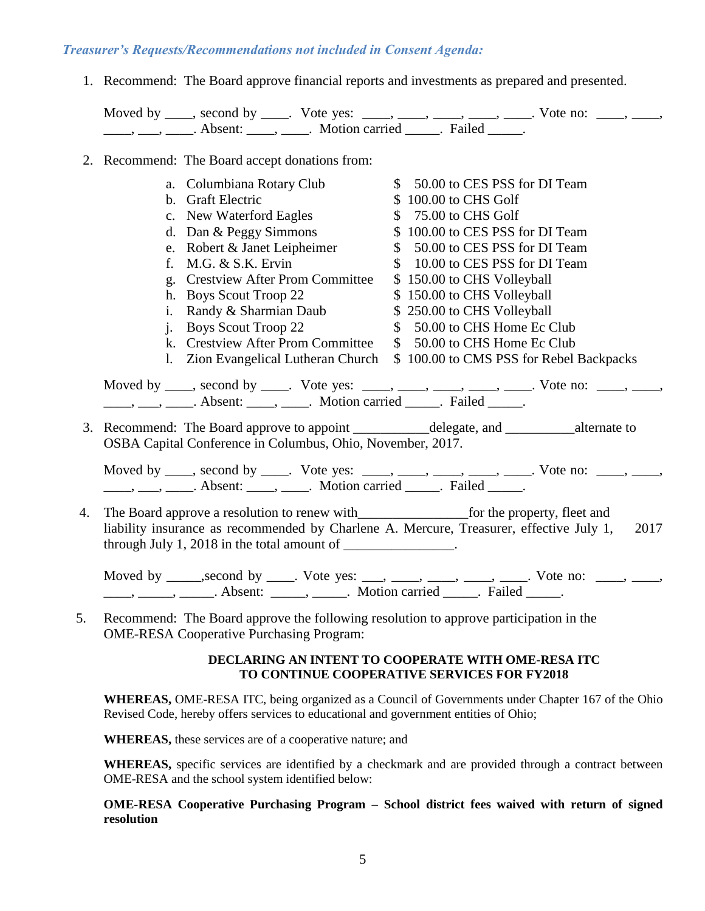#### *Treasurer's Requests/Recommendations not included in Consent Agenda:*

1. Recommend: The Board approve financial reports and investments as prepared and presented. Moved by  $\_\_\_\_\$ , second by  $\_\_\_\$ . Vote yes:  $\_\_\_\_\_\_\_\_\_\_\_\_\_\_\_\_\_\_\_\_\_\_\_\_\_\_\_\_\_\_\_\_\_\_\_\_$ \_\_\_\_, \_\_\_, \_\_\_\_. Absent: \_\_\_\_, \_\_\_\_. Motion carried \_\_\_\_\_. Failed \_\_\_\_\_. 2. Recommend: The Board accept donations from: a. Columbiana Rotary Club \$ 50.00 to CES PSS for DI Team b. Graft Electric  $$ 100.00$  to CHS Golf c. New Waterford Eagles \$ 75.00 to CHS Golf d. Dan & Peggy Simmons  $$ 100.00$  to CES PSS for DI Team e. Robert & Janet Leipheimer  $$ 50.00$  to CES PSS for DI Team f. M.G. & S.K. Ervin  $$ 10.00$  to CES PSS for DI Team g. Crestview After Prom Committee \$ 150.00 to CHS Volleyball h. Boys Scout Troop 22 \$ 150.00 to CHS Volleyball i. Randy & Sharmian Daub  $$ 250.00$  to CHS Volleyball j. Boys Scout Troop 22 \$ 50.00 to CHS Home Ec Club k. Crestview After Prom Committee  $\quad$  \$ 50.00 to CHS Home Ec Club l. Zion Evangelical Lutheran Church \$ 100.00 to CMS PSS for Rebel Backpacks Moved by \_\_\_\_, second by \_\_\_\_. Vote yes: \_\_\_\_, \_\_\_\_, \_\_\_\_, \_\_\_\_, \_\_\_\_. Vote no: \_\_\_\_, \_\_\_\_, \_\_\_\_, \_\_\_, \_\_\_\_. Absent: \_\_\_\_, \_\_\_\_. Motion carried \_\_\_\_\_. Failed \_\_\_\_\_. 3. Recommend: The Board approve to appoint \_\_\_\_\_\_\_\_\_\_\_delegate, and \_\_\_\_\_\_\_\_\_\_alternate to OSBA Capital Conference in Columbus, Ohio, November, 2017. Moved by  $\_\_\_\_\$ , second by  $\_\_\_\$ . Vote yes:  $\_\_\_\_\_\_\_\_\_\_\_\_\_\_\_\_\_\_\_\_\_\_\_\_\_\_\_\_\_\_\_\_\_\_\_\_$ \_\_\_\_, \_\_\_, \_\_\_\_. Absent: \_\_\_\_, \_\_\_\_. Motion carried \_\_\_\_\_. Failed \_\_\_\_\_. 4. The Board approve a resolution to renew with\_\_\_\_\_\_\_\_\_\_\_\_\_\_\_\_for the property, fleet and liability insurance as recommended by Charlene A. Mercure, Treasurer, effective July 1, 2017 through July 1, 2018 in the total amount of Moved by \_\_\_\_\_, second by \_\_\_\_. Vote yes: \_\_\_, \_\_\_\_, \_\_\_\_, \_\_\_\_, \_\_\_\_. Vote no: \_\_\_\_, \_\_\_\_,

\_\_\_\_, \_\_\_\_\_, \_\_\_\_\_\_. Absent: \_\_\_\_\_, \_\_\_\_\_. Motion carried \_\_\_\_\_. Failed \_\_\_\_\_. 5. Recommend: The Board approve the following resolution to approve participation in the

#### **DECLARING AN INTENT TO COOPERATE WITH OME-RESA ITC TO CONTINUE COOPERATIVE SERVICES FOR FY2018**

**WHEREAS,** OME-RESA ITC, being organized as a Council of Governments under Chapter 167 of the Ohio Revised Code, hereby offers services to educational and government entities of Ohio;

**WHEREAS,** these services are of a cooperative nature; and

OME-RESA Cooperative Purchasing Program:

**WHEREAS,** specific services are identified by a checkmark and are provided through a contract between OME-RESA and the school system identified below:

**OME-RESA Cooperative Purchasing Program – School district fees waived with return of signed resolution**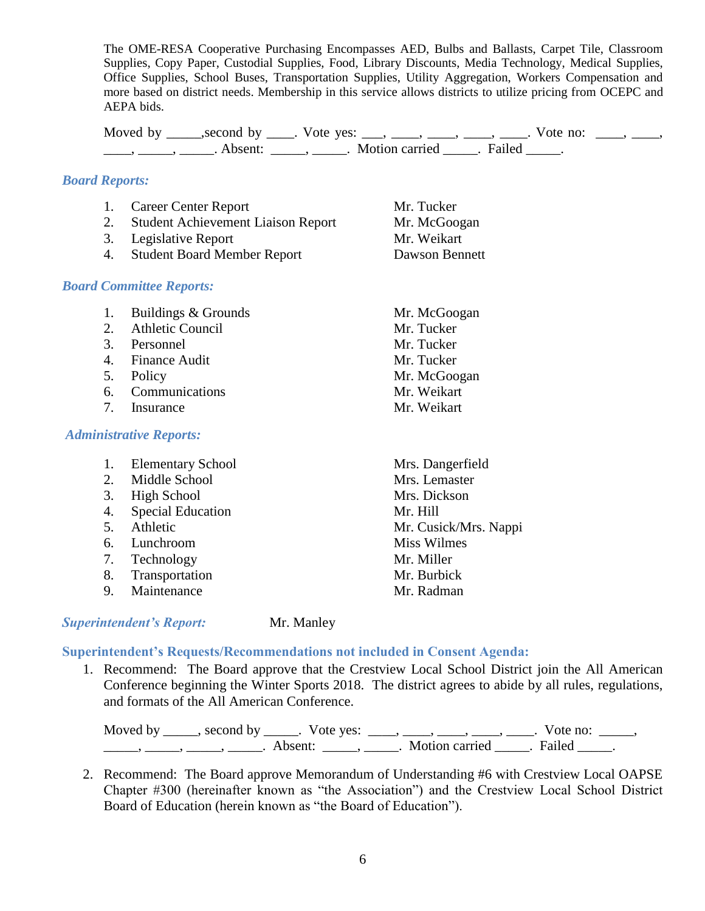The OME-RESA Cooperative Purchasing Encompasses AED, Bulbs and Ballasts, Carpet Tile, Classroom Supplies, Copy Paper, Custodial Supplies, Food, Library Discounts, Media Technology, Medical Supplies, Office Supplies, School Buses, Transportation Supplies, Utility Aggregation, Workers Compensation and more based on district needs. Membership in this service allows districts to utilize pricing from OCEPC and AEPA bids.

Moved by \_\_\_\_\_,second by \_\_\_\_. Vote yes: \_\_\_, \_\_\_\_, \_\_\_\_, \_\_\_\_, \_\_\_\_. Vote no:  $\_\_\_\_\_\$ \_\_\_\_\_, \_\_\_\_\_\_, Absent: \_\_\_\_\_, \_\_\_\_\_. Motion carried \_\_\_\_\_. Failed \_\_\_\_\_.

#### *Board Reports:*

|    | 1. Career Center Report               | Mr. Tucker     |
|----|---------------------------------------|----------------|
|    | 2. Student Achievement Liaison Report | Mr. McGoogan   |
|    | 3. Legislative Report                 | Mr. Weikart    |
| 4. | <b>Student Board Member Report</b>    | Dawson Bennett |

## *Board Committee Reports:*

| 1. | Buildings & Grounds            | Mr. McGoogan     |
|----|--------------------------------|------------------|
| 2. | <b>Athletic Council</b>        | Mr. Tucker       |
| 3. | Personnel                      | Mr. Tucker       |
| 4. | <b>Finance Audit</b>           | Mr. Tucker       |
| 5. | Policy                         | Mr. McGoogan     |
| 6. | Communications                 | Mr. Weikart      |
| 7. | Insurance                      | Mr. Weikart      |
|    | <b>Administrative Reports:</b> |                  |
| 1. | <b>Elementary School</b>       | Mrs. Dangerfield |
| 2. | Middle School                  | Mrs. Lemaster    |
| 3. | <b>High School</b>             | Mrs. Dickson     |

- 4. Special Education Mr. Hill
- 5. Athletic Mr. Cusick/Mrs. Nappi
- 6. Lunchroom Miss Wilmes
- 7. Technology Mr. Miller
- 8. Transportation Mr. Burbick
- 9. Maintenance Mr. Radman

## *Superintendent's Report:* Mr. Manley

# **Superintendent's Requests/Recommendations not included in Consent Agenda:**

1. Recommend: The Board approve that the Crestview Local School District join the All American Conference beginning the Winter Sports 2018. The district agrees to abide by all rules, regulations, and formats of the All American Conference.

Moved by \_\_\_\_\_, second by \_\_\_\_\_. Vote yes:  $\frac{1}{\sqrt{2}}$ , \_\_\_, \_\_\_, \_\_\_, \_\_\_\_, Vote no: \_\_\_\_\_, \_\_\_\_\_\_\_, \_\_\_\_\_\_, \_\_\_\_\_\_\_. Absent: \_\_\_\_\_\_, \_\_\_\_\_\_. Motion carried \_\_\_\_\_\_. Failed \_\_\_\_\_.

2. Recommend: The Board approve Memorandum of Understanding #6 with Crestview Local OAPSE Chapter #300 (hereinafter known as "the Association") and the Crestview Local School District Board of Education (herein known as "the Board of Education").